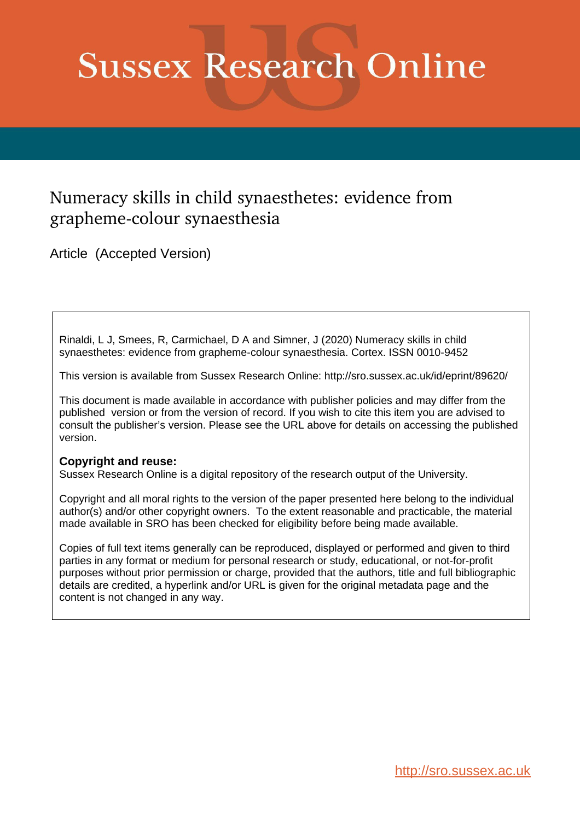# **Sussex Research Online**

# Numeracy skills in child synaesthetes: evidence from grapheme-colour synaesthesia

Article (Accepted Version)

Rinaldi, L J, Smees, R, Carmichael, D A and Simner, J (2020) Numeracy skills in child synaesthetes: evidence from grapheme-colour synaesthesia. Cortex. ISSN 0010-9452

This version is available from Sussex Research Online: http://sro.sussex.ac.uk/id/eprint/89620/

This document is made available in accordance with publisher policies and may differ from the published version or from the version of record. If you wish to cite this item you are advised to consult the publisher's version. Please see the URL above for details on accessing the published version.

# **Copyright and reuse:**

Sussex Research Online is a digital repository of the research output of the University.

Copyright and all moral rights to the version of the paper presented here belong to the individual author(s) and/or other copyright owners. To the extent reasonable and practicable, the material made available in SRO has been checked for eligibility before being made available.

Copies of full text items generally can be reproduced, displayed or performed and given to third parties in any format or medium for personal research or study, educational, or not-for-profit purposes without prior permission or charge, provided that the authors, title and full bibliographic details are credited, a hyperlink and/or URL is given for the original metadata page and the content is not changed in any way.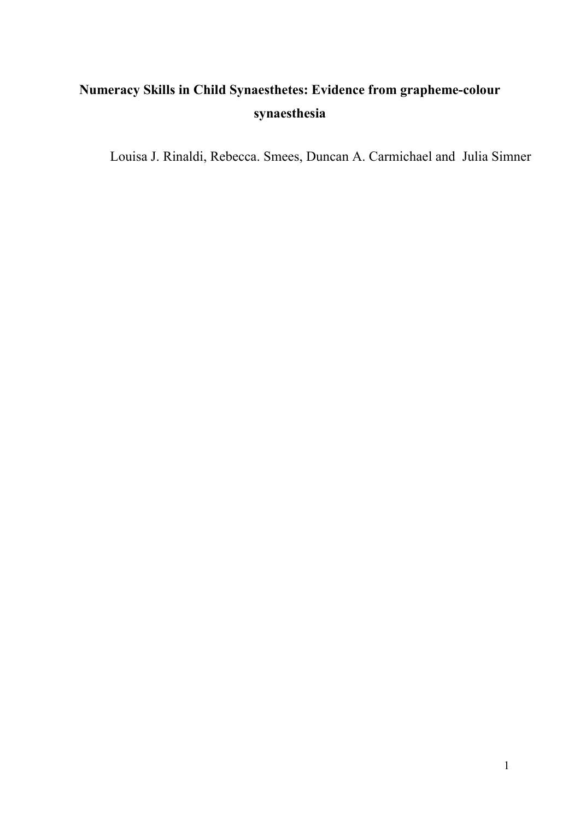# **Numeracy Skills in Child Synaesthetes: Evidence from grapheme-colour synaesthesia**

Louisa J. Rinaldi, Rebecca. Smees, Duncan A. Carmichael and Julia Simner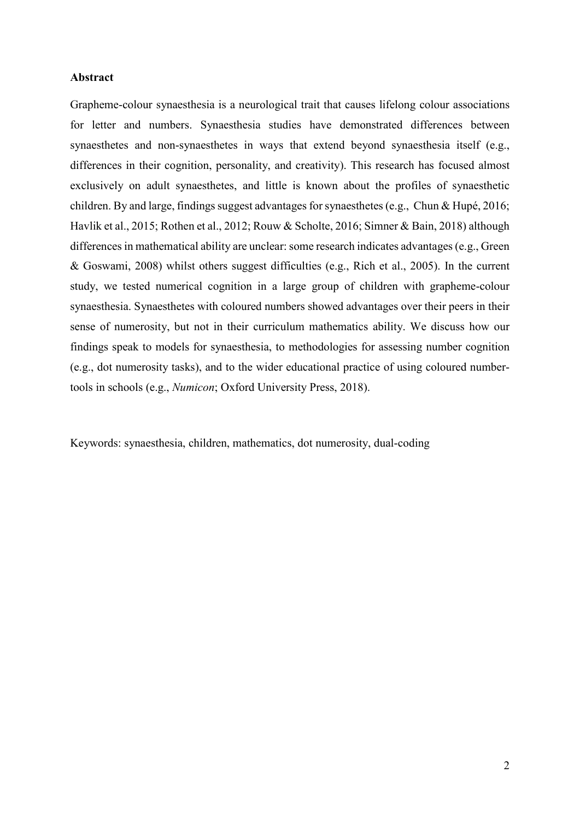# **Abstract**

Grapheme-colour synaesthesia is a neurological trait that causes lifelong colour associations for letter and numbers. Synaesthesia studies have demonstrated differences between synaesthetes and non-synaesthetes in ways that extend beyond synaesthesia itself (e.g., differences in their cognition, personality, and creativity). This research has focused almost exclusively on adult synaesthetes, and little is known about the profiles of synaesthetic children. By and large, findings suggest advantages for synaesthetes (e.g., Chun & Hupé, 2016; Havlik et al., 2015; Rothen et al., 2012; Rouw & Scholte, 2016; Simner & Bain, 2018) although differences in mathematical ability are unclear: some research indicates advantages (e.g., Green & Goswami, 2008) whilst others suggest difficulties (e.g., Rich et al., 2005). In the current study, we tested numerical cognition in a large group of children with grapheme-colour synaesthesia. Synaesthetes with coloured numbers showed advantages over their peers in their sense of numerosity, but not in their curriculum mathematics ability. We discuss how our findings speak to models for synaesthesia, to methodologies for assessing number cognition (e.g., dot numerosity tasks), and to the wider educational practice of using coloured numbertools in schools (e.g., *Numicon*; Oxford University Press, 2018).

Keywords: synaesthesia, children, mathematics, dot numerosity, dual-coding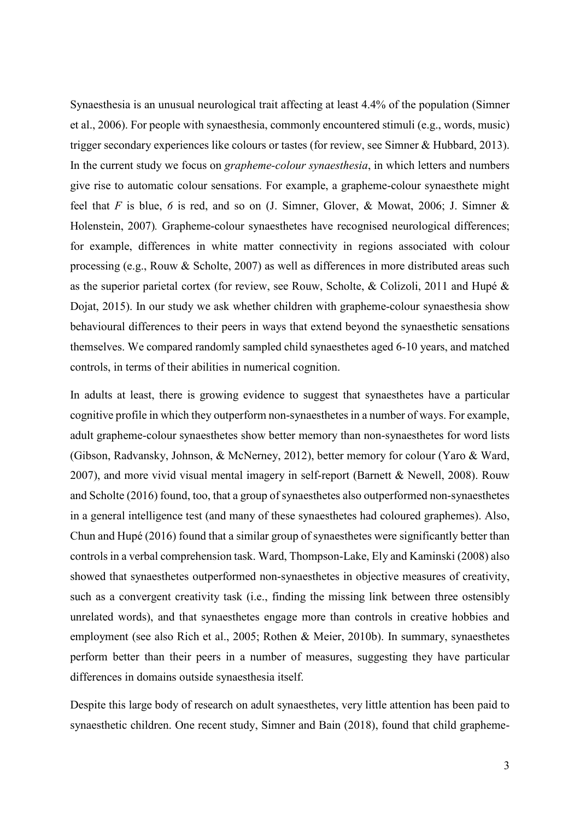Synaesthesia is an unusual neurological trait affecting at least 4.4% of the population (Simner et al., 2006). For people with synaesthesia, commonly encountered stimuli (e.g., words, music) trigger secondary experiences like colours or tastes (for review, see Simner & Hubbard, 2013). In the current study we focus on *grapheme-colour synaesthesia*, in which letters and numbers give rise to automatic colour sensations. For example, a grapheme-colour synaesthete might feel that *F* is blue, *6* is red, and so on (J. Simner, Glover, & Mowat, 2006; J. Simner & Holenstein, 2007)*.* Grapheme-colour synaesthetes have recognised neurological differences; for example, differences in white matter connectivity in regions associated with colour processing (e.g., Rouw & Scholte, 2007) as well as differences in more distributed areas such as the superior parietal cortex (for review, see Rouw, Scholte, & Colizoli, 2011 and Hupé & Dojat, 2015). In our study we ask whether children with grapheme-colour synaesthesia show behavioural differences to their peers in ways that extend beyond the synaesthetic sensations themselves. We compared randomly sampled child synaesthetes aged 6-10 years, and matched controls, in terms of their abilities in numerical cognition.

In adults at least, there is growing evidence to suggest that synaesthetes have a particular cognitive profile in which they outperform non-synaesthetes in a number of ways. For example, adult grapheme-colour synaesthetes show better memory than non-synaesthetes for word lists (Gibson, Radvansky, Johnson, & McNerney, 2012), better memory for colour (Yaro & Ward, 2007), and more vivid visual mental imagery in self-report (Barnett & Newell, 2008). Rouw and Scholte (2016) found, too, that a group of synaesthetes also outperformed non-synaesthetes in a general intelligence test (and many of these synaesthetes had coloured graphemes). Also, Chun and Hupé (2016) found that a similar group of synaesthetes were significantly better than controls in a verbal comprehension task. Ward, Thompson-Lake, Ely and Kaminski (2008) also showed that synaesthetes outperformed non-synaesthetes in objective measures of creativity, such as a convergent creativity task (i.e., finding the missing link between three ostensibly unrelated words), and that synaesthetes engage more than controls in creative hobbies and employment (see also Rich et al., 2005; Rothen & Meier, 2010b). In summary, synaesthetes perform better than their peers in a number of measures, suggesting they have particular differences in domains outside synaesthesia itself.

Despite this large body of research on adult synaesthetes, very little attention has been paid to synaesthetic children. One recent study, Simner and Bain (2018), found that child grapheme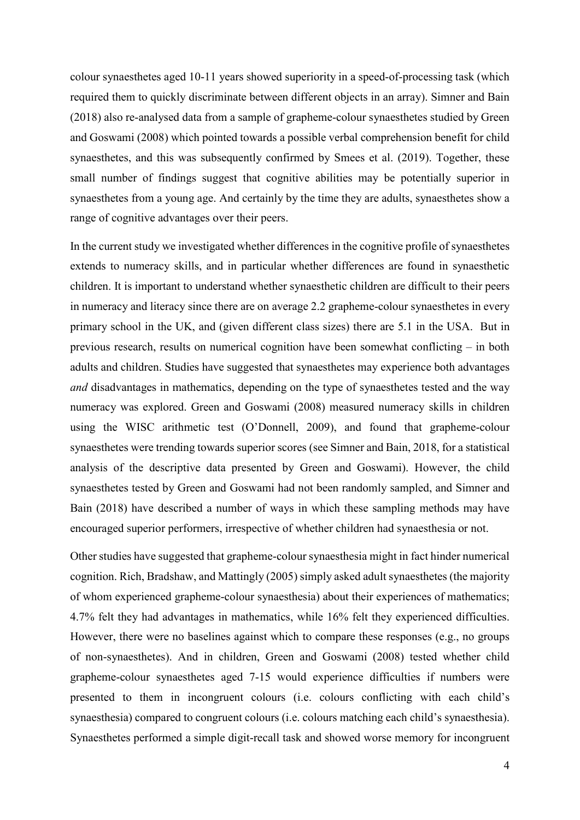colour synaesthetes aged 10-11 years showed superiority in a speed-of-processing task (which required them to quickly discriminate between different objects in an array). Simner and Bain (2018) also re-analysed data from a sample of grapheme-colour synaesthetes studied by Green and Goswami (2008) which pointed towards a possible verbal comprehension benefit for child synaesthetes, and this was subsequently confirmed by Smees et al. (2019). Together, these small number of findings suggest that cognitive abilities may be potentially superior in synaesthetes from a young age. And certainly by the time they are adults, synaesthetes show a range of cognitive advantages over their peers.

In the current study we investigated whether differences in the cognitive profile of synaesthetes extends to numeracy skills, and in particular whether differences are found in synaesthetic children. It is important to understand whether synaesthetic children are difficult to their peers in numeracy and literacy since there are on average 2.2 grapheme-colour synaesthetes in every primary school in the UK, and (given different class sizes) there are 5.1 in the USA. But in previous research, results on numerical cognition have been somewhat conflicting – in both adults and children. Studies have suggested that synaesthetes may experience both advantages *and* disadvantages in mathematics, depending on the type of synaesthetes tested and the way numeracy was explored. Green and Goswami (2008) measured numeracy skills in children using the WISC arithmetic test (O'Donnell, 2009), and found that grapheme-colour synaesthetes were trending towards superior scores (see Simner and Bain, 2018, for a statistical analysis of the descriptive data presented by Green and Goswami). However, the child synaesthetes tested by Green and Goswami had not been randomly sampled, and Simner and Bain (2018) have described a number of ways in which these sampling methods may have encouraged superior performers, irrespective of whether children had synaesthesia or not.

Other studies have suggested that grapheme-colour synaesthesia might in fact hinder numerical cognition. Rich, Bradshaw, and Mattingly (2005) simply asked adult synaesthetes (the majority of whom experienced grapheme-colour synaesthesia) about their experiences of mathematics; 4.7% felt they had advantages in mathematics, while 16% felt they experienced difficulties. However, there were no baselines against which to compare these responses (e.g., no groups of non-synaesthetes). And in children, Green and Goswami (2008) tested whether child grapheme-colour synaesthetes aged 7-15 would experience difficulties if numbers were presented to them in incongruent colours (i.e. colours conflicting with each child's synaesthesia) compared to congruent colours (i.e. colours matching each child's synaesthesia). Synaesthetes performed a simple digit-recall task and showed worse memory for incongruent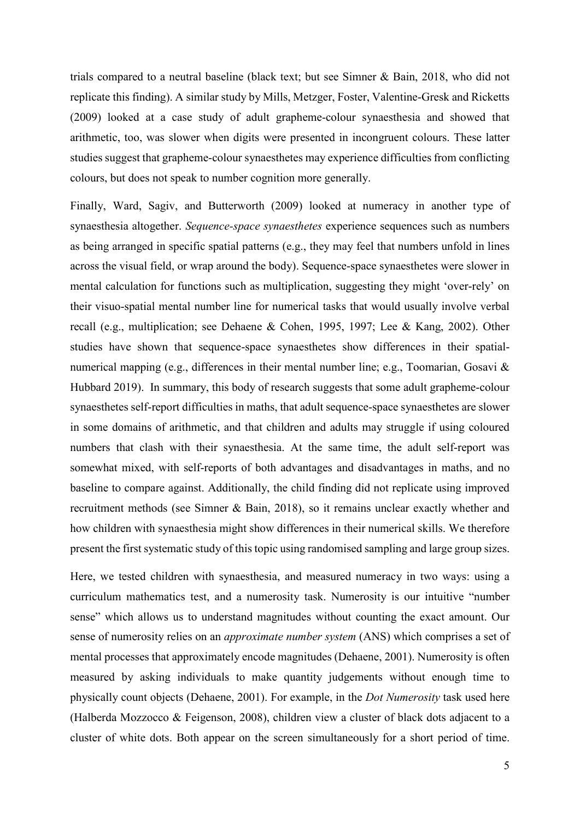trials compared to a neutral baseline (black text; but see Simner & Bain, 2018, who did not replicate this finding). A similar study by Mills, Metzger, Foster, Valentine-Gresk and Ricketts (2009) looked at a case study of adult grapheme-colour synaesthesia and showed that arithmetic, too, was slower when digits were presented in incongruent colours. These latter studies suggest that grapheme-colour synaesthetes may experience difficulties from conflicting colours, but does not speak to number cognition more generally.

Finally, Ward, Sagiv, and Butterworth (2009) looked at numeracy in another type of synaesthesia altogether. *Sequence-space synaesthetes* experience sequences such as numbers as being arranged in specific spatial patterns (e.g., they may feel that numbers unfold in lines across the visual field, or wrap around the body). Sequence-space synaesthetes were slower in mental calculation for functions such as multiplication, suggesting they might 'over-rely' on their visuo-spatial mental number line for numerical tasks that would usually involve verbal recall (e.g., multiplication; see Dehaene & Cohen, 1995, 1997; Lee & Kang, 2002). Other studies have shown that sequence-space synaesthetes show differences in their spatialnumerical mapping (e.g., differences in their mental number line; e.g., Toomarian, Gosavi & Hubbard 2019). In summary, this body of research suggests that some adult grapheme-colour synaesthetes self-report difficulties in maths, that adult sequence-space synaesthetes are slower in some domains of arithmetic, and that children and adults may struggle if using coloured numbers that clash with their synaesthesia. At the same time, the adult self-report was somewhat mixed, with self-reports of both advantages and disadvantages in maths, and no baseline to compare against. Additionally, the child finding did not replicate using improved recruitment methods (see Simner & Bain, 2018), so it remains unclear exactly whether and how children with synaesthesia might show differences in their numerical skills. We therefore present the first systematic study of this topic using randomised sampling and large group sizes.

Here, we tested children with synaesthesia, and measured numeracy in two ways: using a curriculum mathematics test, and a numerosity task. Numerosity is our intuitive "number sense" which allows us to understand magnitudes without counting the exact amount. Our sense of numerosity relies on an *approximate number system* (ANS) which comprises a set of mental processes that approximately encode magnitudes (Dehaene, 2001). Numerosity is often measured by asking individuals to make quantity judgements without enough time to physically count objects (Dehaene, 2001). For example, in the *Dot Numerosity* task used here (Halberda Mozzocco & Feigenson, 2008), children view a cluster of black dots adjacent to a cluster of white dots. Both appear on the screen simultaneously for a short period of time.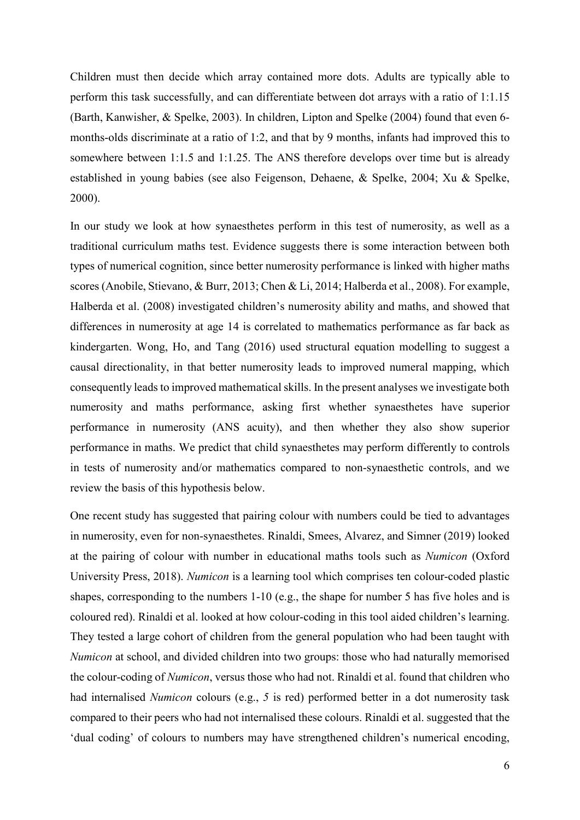Children must then decide which array contained more dots. Adults are typically able to perform this task successfully, and can differentiate between dot arrays with a ratio of 1:1.15 (Barth, Kanwisher, & Spelke, 2003). In children, Lipton and Spelke (2004) found that even 6 months-olds discriminate at a ratio of 1:2, and that by 9 months, infants had improved this to somewhere between 1:1.5 and 1:1.25. The ANS therefore develops over time but is already established in young babies (see also Feigenson, Dehaene, & Spelke, 2004; Xu & Spelke, 2000).

In our study we look at how synaesthetes perform in this test of numerosity, as well as a traditional curriculum maths test. Evidence suggests there is some interaction between both types of numerical cognition, since better numerosity performance is linked with higher maths scores (Anobile, Stievano, & Burr, 2013; Chen & Li, 2014; Halberda et al., 2008). For example, Halberda et al. (2008) investigated children's numerosity ability and maths, and showed that differences in numerosity at age 14 is correlated to mathematics performance as far back as kindergarten. Wong, Ho, and Tang (2016) used structural equation modelling to suggest a causal directionality, in that better numerosity leads to improved numeral mapping, which consequently leads to improved mathematical skills. In the present analyses we investigate both numerosity and maths performance, asking first whether synaesthetes have superior performance in numerosity (ANS acuity), and then whether they also show superior performance in maths. We predict that child synaesthetes may perform differently to controls in tests of numerosity and/or mathematics compared to non-synaesthetic controls, and we review the basis of this hypothesis below.

One recent study has suggested that pairing colour with numbers could be tied to advantages in numerosity, even for non-synaesthetes. Rinaldi, Smees, Alvarez, and Simner (2019) looked at the pairing of colour with number in educational maths tools such as *Numicon* (Oxford University Press, 2018). *Numicon* is a learning tool which comprises ten colour-coded plastic shapes, corresponding to the numbers 1-10 (e.g., the shape for number 5 has five holes and is coloured red). Rinaldi et al. looked at how colour-coding in this tool aided children's learning. They tested a large cohort of children from the general population who had been taught with *Numicon* at school, and divided children into two groups: those who had naturally memorised the colour-coding of *Numicon*, versus those who had not. Rinaldi et al. found that children who had internalised *Numicon* colours (e.g., *5* is red) performed better in a dot numerosity task compared to their peers who had not internalised these colours. Rinaldi et al. suggested that the 'dual coding' of colours to numbers may have strengthened children's numerical encoding,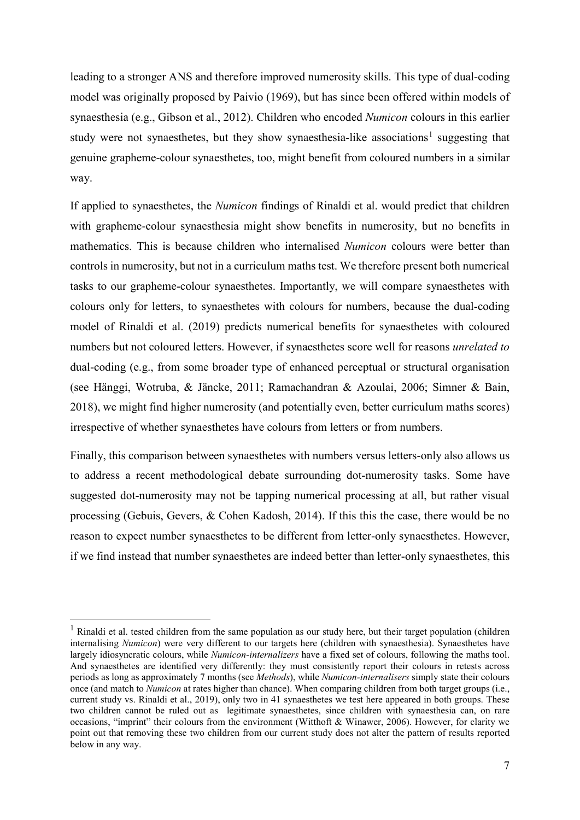leading to a stronger ANS and therefore improved numerosity skills. This type of dual-coding model was originally proposed by Paivio (1969), but has since been offered within models of synaesthesia (e.g., Gibson et al., 2012). Children who encoded *Numicon* colours in this earlier study were not synaesthetes, but they show synaesthesia-like associations<sup>[1](#page-7-0)</sup> suggesting that genuine grapheme-colour synaesthetes, too, might benefit from coloured numbers in a similar way.

If applied to synaesthetes, the *Numicon* findings of Rinaldi et al. would predict that children with grapheme-colour synaesthesia might show benefits in numerosity, but no benefits in mathematics. This is because children who internalised *Numicon* colours were better than controls in numerosity, but not in a curriculum maths test. We therefore present both numerical tasks to our grapheme-colour synaesthetes. Importantly, we will compare synaesthetes with colours only for letters, to synaesthetes with colours for numbers, because the dual-coding model of Rinaldi et al. (2019) predicts numerical benefits for synaesthetes with coloured numbers but not coloured letters. However, if synaesthetes score well for reasons *unrelated to* dual-coding (e.g., from some broader type of enhanced perceptual or structural organisation (see Hänggi, Wotruba, & Jäncke, 2011; Ramachandran & Azoulai, 2006; Simner & Bain, 2018), we might find higher numerosity (and potentially even, better curriculum maths scores) irrespective of whether synaesthetes have colours from letters or from numbers.

Finally, this comparison between synaesthetes with numbers versus letters-only also allows us to address a recent methodological debate surrounding dot-numerosity tasks. Some have suggested dot-numerosity may not be tapping numerical processing at all, but rather visual processing (Gebuis, Gevers, & Cohen Kadosh, 2014). If this this the case, there would be no reason to expect number synaesthetes to be different from letter-only synaesthetes. However, if we find instead that number synaesthetes are indeed better than letter-only synaesthetes, this

<span id="page-7-0"></span><sup>&</sup>lt;sup>1</sup> Rinaldi et al. tested children from the same population as our study here, but their target population (children internalising *Numicon*) were very different to our targets here (children with synaesthesia). Synaesthetes have largely idiosyncratic colours, while *Numicon-internalizers* have a fixed set of colours, following the maths tool. And synaesthetes are identified very differently: they must consistently report their colours in retests across periods as long as approximately 7 months (see *Methods*), while *Numicon-internalisers* simply state their colours once (and match to *Numicon* at rates higher than chance). When comparing children from both target groups (i.e., current study vs. Rinaldi et al., 2019), only two in 41 synaesthetes we test here appeared in both groups. These two children cannot be ruled out as legitimate synaesthetes, since children with synaesthesia can, on rare occasions, "imprint" their colours from the environment (Witthoft & Winawer, 2006). However, for clarity we point out that removing these two children from our current study does not alter the pattern of results reported below in any way.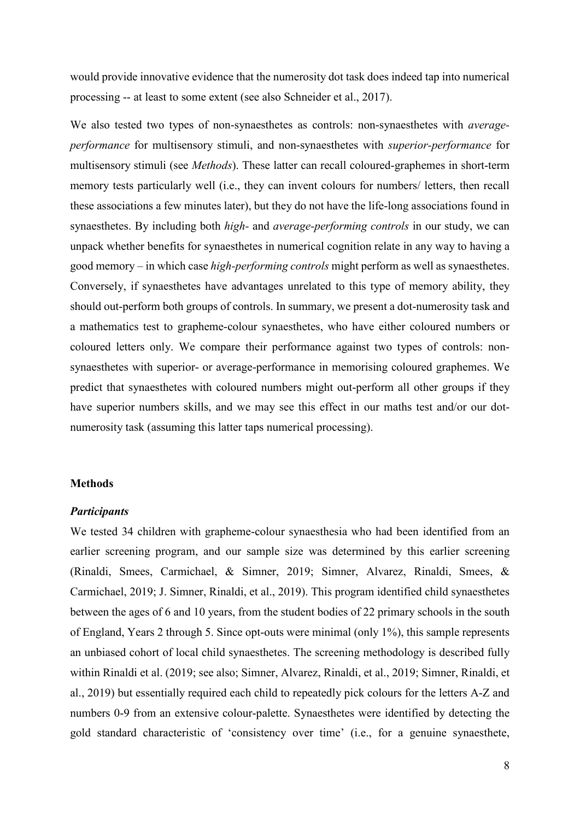would provide innovative evidence that the numerosity dot task does indeed tap into numerical processing -- at least to some extent (see also Schneider et al., 2017).

We also tested two types of non-synaesthetes as controls: non-synaesthetes with *averageperformance* for multisensory stimuli, and non-synaesthetes with *superior-performance* for multisensory stimuli (see *Methods*). These latter can recall coloured-graphemes in short-term memory tests particularly well (i.e., they can invent colours for numbers/ letters, then recall these associations a few minutes later), but they do not have the life-long associations found in synaesthetes. By including both *high-* and *average-performing controls* in our study, we can unpack whether benefits for synaesthetes in numerical cognition relate in any way to having a good memory – in which case *high-performing controls* might perform as well as synaesthetes. Conversely, if synaesthetes have advantages unrelated to this type of memory ability, they should out-perform both groups of controls. In summary, we present a dot-numerosity task and a mathematics test to grapheme-colour synaesthetes, who have either coloured numbers or coloured letters only. We compare their performance against two types of controls: nonsynaesthetes with superior- or average-performance in memorising coloured graphemes. We predict that synaesthetes with coloured numbers might out-perform all other groups if they have superior numbers skills, and we may see this effect in our maths test and/or our dotnumerosity task (assuming this latter taps numerical processing).

#### **Methods**

#### *Participants*

We tested 34 children with grapheme-colour synaesthesia who had been identified from an earlier screening program, and our sample size was determined by this earlier screening (Rinaldi, Smees, Carmichael, & Simner, 2019; Simner, Alvarez, Rinaldi, Smees, & Carmichael, 2019; J. Simner, Rinaldi, et al., 2019). This program identified child synaesthetes between the ages of 6 and 10 years, from the student bodies of 22 primary schools in the south of England, Years 2 through 5. Since opt-outs were minimal (only 1%), this sample represents an unbiased cohort of local child synaesthetes. The screening methodology is described fully within Rinaldi et al. (2019; see also; Simner, Alvarez, Rinaldi, et al., 2019; Simner, Rinaldi, et al., 2019) but essentially required each child to repeatedly pick colours for the letters A-Z and numbers 0-9 from an extensive colour-palette. Synaesthetes were identified by detecting the gold standard characteristic of 'consistency over time' (i.e., for a genuine synaesthete,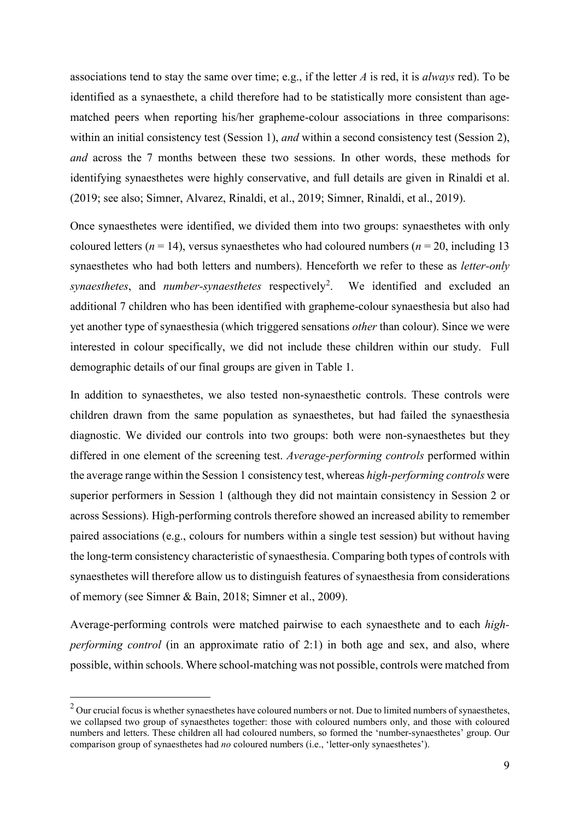associations tend to stay the same over time; e.g., if the letter *A* is red, it is *always* red). To be identified as a synaesthete, a child therefore had to be statistically more consistent than agematched peers when reporting his/her grapheme-colour associations in three comparisons: within an initial consistency test (Session 1), *and* within a second consistency test (Session 2), *and* across the 7 months between these two sessions. In other words, these methods for identifying synaesthetes were highly conservative, and full details are given in Rinaldi et al. (2019; see also; Simner, Alvarez, Rinaldi, et al., 2019; Simner, Rinaldi, et al., 2019).

Once synaesthetes were identified, we divided them into two groups: synaesthetes with only coloured letters ( $n = 14$ ), versus synaesthetes who had coloured numbers ( $n = 20$ , including 13 synaesthetes who had both letters and numbers). Henceforth we refer to these as *letter-only*  synaesthetes, and *number-synaesthetes* respectively<sup>[2](#page-9-0)</sup>. We identified and excluded an additional 7 children who has been identified with grapheme-colour synaesthesia but also had yet another type of synaesthesia (which triggered sensations *other* than colour). Since we were interested in colour specifically, we did not include these children within our study. Full demographic details of our final groups are given in Table 1.

In addition to synaesthetes, we also tested non-synaesthetic controls. These controls were children drawn from the same population as synaesthetes, but had failed the synaesthesia diagnostic. We divided our controls into two groups: both were non-synaesthetes but they differed in one element of the screening test. *Average-performing controls* performed within the average range within the Session 1 consistency test, whereas *high-performing controls* were superior performers in Session 1 (although they did not maintain consistency in Session 2 or across Sessions). High-performing controls therefore showed an increased ability to remember paired associations (e.g., colours for numbers within a single test session) but without having the long-term consistency characteristic of synaesthesia. Comparing both types of controls with synaesthetes will therefore allow us to distinguish features of synaesthesia from considerations of memory (see Simner & Bain, 2018; Simner et al., 2009).

Average-performing controls were matched pairwise to each synaesthete and to each *highperforming control* (in an approximate ratio of 2:1) in both age and sex, and also, where possible, within schools. Where school-matching was not possible, controls were matched from

<span id="page-9-0"></span> $2$  Our crucial focus is whether synaesthetes have coloured numbers or not. Due to limited numbers of synaesthetes, we collapsed two group of synaesthetes together: those with coloured numbers only, and those with coloured numbers and letters. These children all had coloured numbers, so formed the 'number-synaesthetes' group. Our comparison group of synaesthetes had *no* coloured numbers (i.e., 'letter-only synaesthetes').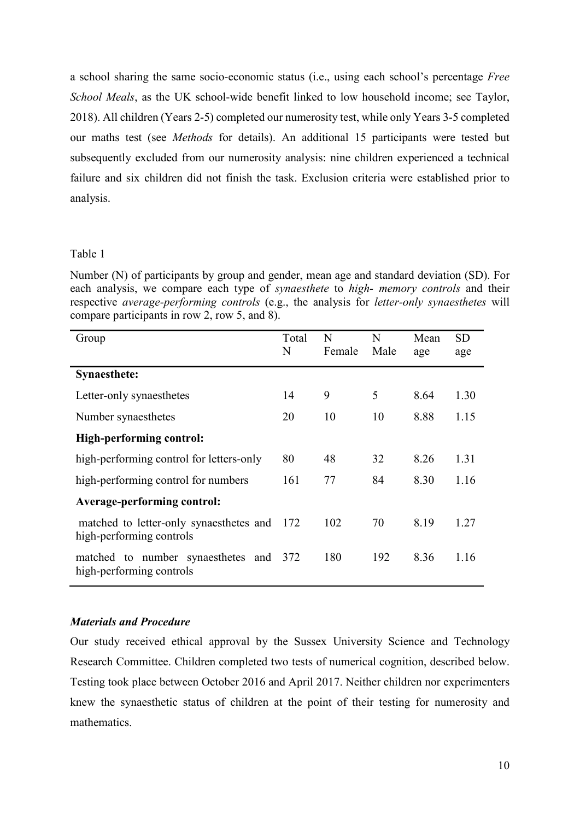a school sharing the same socio-economic status (i.e., using each school's percentage *Free School Meals*, as the UK school-wide benefit linked to low household income; see Taylor, 2018). All children (Years 2-5) completed our numerosity test, while only Years 3-5 completed our maths test (see *Methods* for details). An additional 15 participants were tested but subsequently excluded from our numerosity analysis: nine children experienced a technical failure and six children did not finish the task. Exclusion criteria were established prior to analysis.

#### Table 1

Number (N) of participants by group and gender, mean age and standard deviation (SD). For each analysis, we compare each type of *synaesthete* to *high- memory controls* and their respective *average-performing controls* (e.g., the analysis for *letter-only synaesthetes* will compare participants in row 2, row 5, and 8).

| Group                                                               | Total<br>N | N<br>Female | N<br>Male | Mean<br>age | <b>SD</b><br>age |
|---------------------------------------------------------------------|------------|-------------|-----------|-------------|------------------|
| <b>Synaesthete:</b>                                                 |            |             |           |             |                  |
| Letter-only synaesthetes                                            | 14         | 9           | 5         | 8.64        | 1.30             |
| Number synaesthetes                                                 | 20         | 10          | 10        | 8.88        | 1.15             |
| <b>High-performing control:</b>                                     |            |             |           |             |                  |
| high-performing control for letters-only                            | 80         | 48          | 32        | 8.26        | 1.31             |
| high-performing control for numbers                                 | 161        | 77          | 84        | 8.30        | 1.16             |
| Average-performing control:                                         |            |             |           |             |                  |
| matched to letter-only synaesthetes and<br>high-performing controls | - 172      | 102         | 70        | 8.19        | 1.27             |
| matched to number synaesthetes and<br>high-performing controls      | 372        | 180         | 192       | 8.36        | 1.16             |

# *Materials and Procedure*

Our study received ethical approval by the Sussex University Science and Technology Research Committee. Children completed two tests of numerical cognition, described below. Testing took place between October 2016 and April 2017. Neither children nor experimenters knew the synaesthetic status of children at the point of their testing for numerosity and mathematics.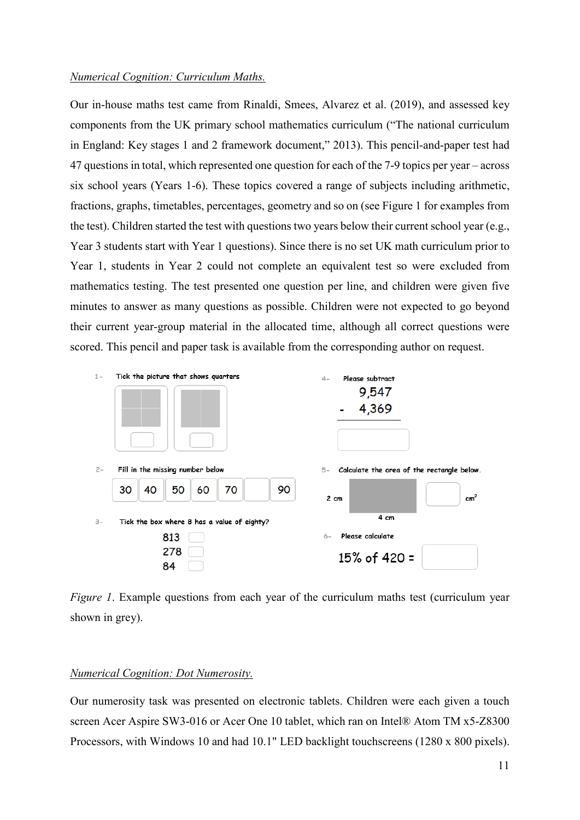#### *Numerical Cognition: Curriculum Maths.*

Our in-house maths test came from Rinaldi, Smees, Alvarez et al. (2019), and assessed key components from the UK primary school mathematics curriculum ("The national curriculum in England: Key stages 1 and 2 framework document," 2013). This pencil-and-paper test had 47 questions in total, which represented one question for each of the 7-9 topics per year – across six school years (Years 1-6). These topics covered a range of subjects including arithmetic, fractions, graphs, timetables, percentages, geometry and so on (see Figure 1 for examples from the test). Children started the test with questions two years below their current school year (e.g., Year 3 students start with Year 1 questions). Since there is no set UK math curriculum prior to Year 1, students in Year 2 could not complete an equivalent test so were excluded from mathematics testing. The test presented one question per line, and children were given five minutes to answer as many questions as possible. Children were not expected to go beyond their current year-group material in the allocated time, although all correct questions were scored. This pencil and paper task is available from the corresponding author on request.



*Figure 1*. Example questions from each year of the curriculum maths test (curriculum year shown in grey).

### *Numerical Cognition: Dot Numerosity.*

Our numerosity task was presented on electronic tablets. Children were each given a touch screen Acer Aspire SW3-016 or Acer One 10 tablet, which ran on Intel® Atom TM x5-Z8300 Processors, with Windows 10 and had 10.1" LED backlight touchscreens (1280 x 800 pixels).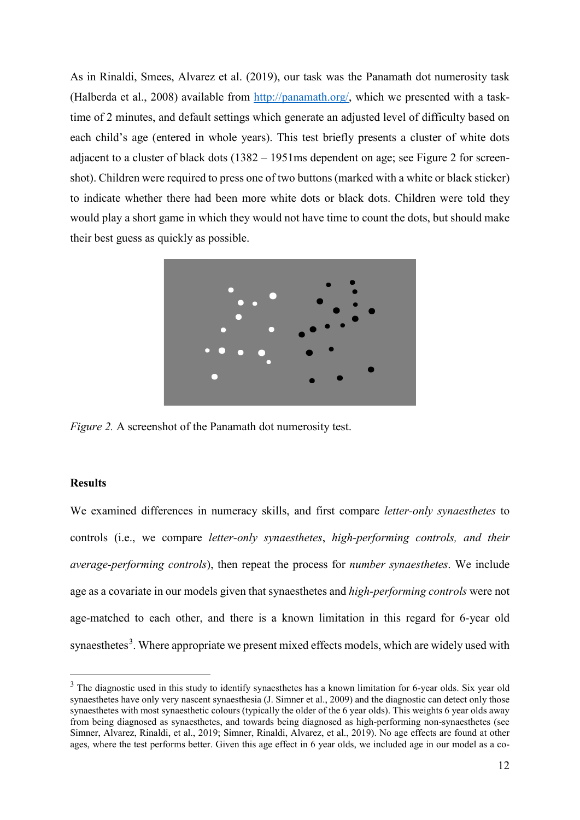As in Rinaldi, Smees, Alvarez et al. (2019), our task was the Panamath dot numerosity task (Halberda et al., 2008) available from [http://panamath.org/,](http://panamath.org/) which we presented with a tasktime of 2 minutes, and default settings which generate an adjusted level of difficulty based on each child's age (entered in whole years). This test briefly presents a cluster of white dots adjacent to a cluster of black dots (1382 – 1951ms dependent on age; see Figure 2 for screenshot). Children were required to press one of two buttons (marked with a white or black sticker) to indicate whether there had been more white dots or black dots. Children were told they would play a short game in which they would not have time to count the dots, but should make their best guess as quickly as possible.



*Figure 2.* A screenshot of the Panamath dot numerosity test.

#### **Results**

We examined differences in numeracy skills, and first compare *letter-only synaesthetes* to controls (i.e., we compare *letter-only synaesthetes*, *high-performing controls, and their average-performing controls*), then repeat the process for *number synaesthetes*. We include age as a covariate in our models given that synaesthetes and *high-performing controls* were not age-matched to each other, and there is a known limitation in this regard for 6-year old synaesthetes<sup>[3](#page-12-0)</sup>. Where appropriate we present mixed effects models, which are widely used with

<span id="page-12-0"></span><sup>&</sup>lt;sup>3</sup> The diagnostic used in this study to identify synaesthetes has a known limitation for 6-year olds. Six year old synaesthetes have only very nascent synaesthesia (J. Simner et al., 2009) and the diagnostic can detect only those synaesthetes with most synaesthetic colours (typically the older of the 6 year olds). This weights 6 year olds away from being diagnosed as synaesthetes, and towards being diagnosed as high-performing non-synaesthetes (see Simner, Alvarez, Rinaldi, et al., 2019; Simner, Rinaldi, Alvarez, et al., 2019). No age effects are found at other ages, where the test performs better. Given this age effect in 6 year olds, we included age in our model as a co-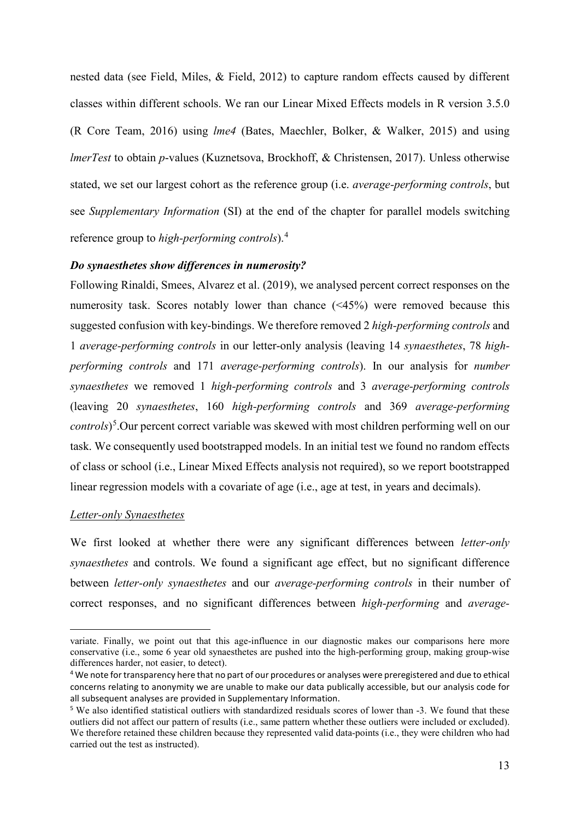nested data (see Field, Miles, & Field, 2012) to capture random effects caused by different classes within different schools. We ran our Linear Mixed Effects models in R version 3.5.0 (R Core Team, 2016) using *lme4* (Bates, Maechler, Bolker, & Walker, 2015) and using *lmerTest* to obtain *p*-values (Kuznetsova, Brockhoff, & Christensen, 2017). Unless otherwise stated, we set our largest cohort as the reference group (i.e. *average-performing controls*, but see *Supplementary Information* (SI) at the end of the chapter for parallel models switching reference group to *high-performing controls*).[4](#page-13-0)

## *Do synaesthetes show differences in numerosity?*

Following Rinaldi, Smees, Alvarez et al. (2019), we analysed percent correct responses on the numerosity task. Scores notably lower than chance (<45%) were removed because this suggested confusion with key-bindings. We therefore removed 2 *high-performing controls* and 1 *average-performing controls* in our letter-only analysis (leaving 14 *synaesthetes*, 78 *highperforming controls* and 171 *average-performing controls*). In our analysis for *number synaesthetes* we removed 1 *high-performing controls* and 3 *average-performing controls* (leaving 20 *synaesthetes*, 160 *high-performing controls* and 369 *average-performing controls*) [5](#page-13-1) .Our percent correct variable was skewed with most children performing well on our task. We consequently used bootstrapped models. In an initial test we found no random effects of class or school (i.e., Linear Mixed Effects analysis not required), so we report bootstrapped linear regression models with a covariate of age (i.e., age at test, in years and decimals).

#### *Letter-only Synaesthetes*

-

We first looked at whether there were any significant differences between *letter-only synaesthetes* and controls. We found a significant age effect, but no significant difference between *letter-only synaesthetes* and our *average-performing controls* in their number of correct responses, and no significant differences between *high-performing* and *average-*

variate. Finally, we point out that this age-influence in our diagnostic makes our comparisons here more conservative (i.e., some 6 year old synaesthetes are pushed into the high-performing group, making group-wise differences harder, not easier, to detect).

<span id="page-13-0"></span><sup>4</sup> We note for transparency here that no part of our procedures or analyses were preregistered and due to ethical concerns relating to anonymity we are unable to make our data publically accessible, but our analysis code for all subsequent analyses are provided in Supplementary Information.

<span id="page-13-1"></span><sup>5</sup> We also identified statistical outliers with standardized residuals scores of lower than -3. We found that these outliers did not affect our pattern of results (i.e., same pattern whether these outliers were included or excluded). We therefore retained these children because they represented valid data-points (i.e., they were children who had carried out the test as instructed).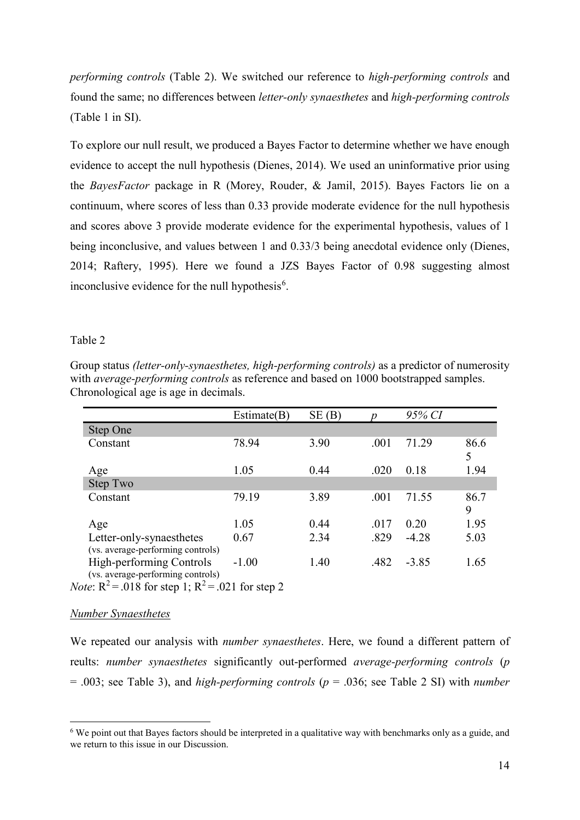*performing controls* (Table 2). We switched our reference to *high-performing controls* and found the same; no differences between *letter-only synaesthetes* and *high-performing controls* (Table 1 in SI).

To explore our null result, we produced a Bayes Factor to determine whether we have enough evidence to accept the null hypothesis (Dienes, 2014). We used an uninformative prior using the *BayesFactor* package in R (Morey, Rouder, & Jamil, 2015). Bayes Factors lie on a continuum, where scores of less than 0.33 provide moderate evidence for the null hypothesis and scores above 3 provide moderate evidence for the experimental hypothesis, values of 1 being inconclusive, and values between 1 and 0.33/3 being anecdotal evidence only (Dienes, 2014; Raftery, 1995). Here we found a JZS Bayes Factor of 0.98 suggesting almost inconclusive evidence for the null hypothesis<sup>[6](#page-14-0)</sup>.

#### Table 2

Group status *(letter-only-synaesthetes, high-performing controls)* as a predictor of numerosity with *average-performing controls* as reference and based on 1000 bootstrapped samples. Chronological age is age in decimals.

|                                                                                                     | Estimate(B)                            | SE(B) |      | 95% CI  |           |
|-----------------------------------------------------------------------------------------------------|----------------------------------------|-------|------|---------|-----------|
| Step One                                                                                            |                                        |       |      |         |           |
| Constant                                                                                            | 78.94                                  | 3.90  | .001 | 71.29   | 86.6<br>5 |
| Age                                                                                                 | 1.05                                   | 0.44  | .020 | 0.18    | 1.94      |
| Step Two                                                                                            |                                        |       |      |         |           |
| Constant                                                                                            | 79.19                                  | 3.89  | .001 | 71.55   | 86.7<br>9 |
| Age                                                                                                 | 1.05                                   | 0.44  | .017 | 0.20    | 1.95      |
| Letter-only-synaesthetes<br>(vs. average-performing controls)                                       | 0.67                                   | 2.34  | .829 | $-4.28$ | 5.03      |
| High-performing Controls<br>(vs. average-performing controls)<br>$\sqrt{2}$ $\sqrt{100}$ $\sqrt{2}$ | $-1.00$<br>$\sim$ $\sim$ $\sim$ $\sim$ | 1.40  | .482 | $-3.85$ | 1.65      |

*Note*:  $R^2 = .018$  for step 1;  $R^2 = .021$  for step 2

#### *Number Synaesthetes*

We repeated our analysis with *number synaesthetes*. Here, we found a different pattern of reults: *number synaesthetes* significantly out-performed *average-performing controls* (*p*  = .003; see Table 3), and *high-performing controls* (*p* = .036; see Table 2 SI) with *number* 

<span id="page-14-0"></span> <sup>6</sup> We point out that Bayes factors should be interpreted in a qualitative way with benchmarks only as a guide, and we return to this issue in our Discussion.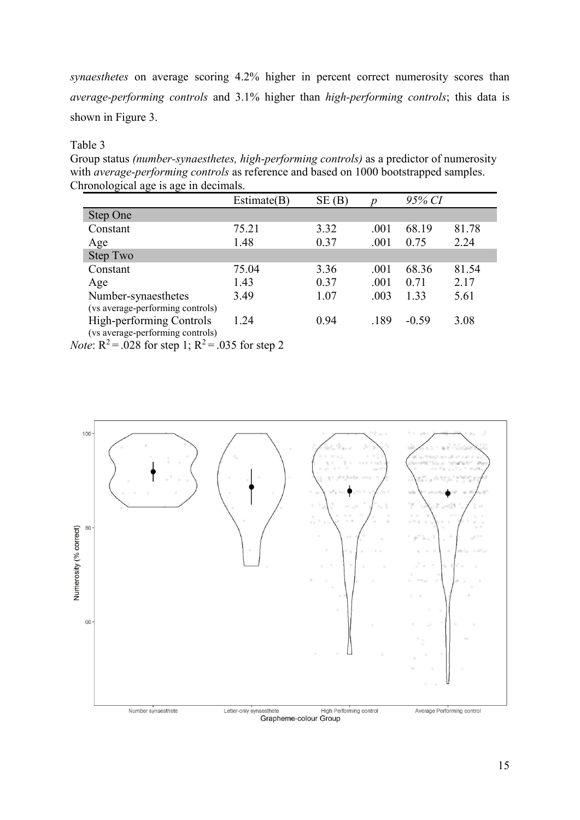*synaesthetes* on average scoring 4.2% higher in percent correct numerosity scores than *average-performing controls* and 3.1% higher than *high-performing controls*; this data is shown in Figure 3.

# Table 3

Group status *(number-synaesthetes, high-performing controls)* as a predictor of numerosity with *average-performing controls* as reference and based on 1000 bootstrapped samples. Chronological age is age in decimals.

|                                                                                                        | Estimate(B) | SE(B) |      | 95% CI  |       |
|--------------------------------------------------------------------------------------------------------|-------------|-------|------|---------|-------|
| Step One                                                                                               |             |       |      |         |       |
| Constant                                                                                               | 75.21       | 3.32  | .001 | 68.19   | 81.78 |
| Age                                                                                                    | 1.48        | 0.37  | .001 | 0.75    | 2.24  |
| Step Two                                                                                               |             |       |      |         |       |
| Constant                                                                                               | 75.04       | 3.36  | .001 | 68.36   | 81.54 |
| Age                                                                                                    | 1.43        | 0.37  | .001 | 0.71    | 2.17  |
| Number-synaesthetes                                                                                    | 3.49        | 1.07  | .003 | 1.33    | 5.61  |
| (vs average-performing controls)                                                                       |             |       |      |         |       |
| High-performing Controls                                                                               | 1.24        | 0.94  | .189 | $-0.59$ | 3.08  |
| (vs average-performing controls)<br>$N_{\text{min}}$ $D^2 = 0.29$ for stap 1, $D^2 = 0.25$ for stap 2. |             |       |      |         |       |

*Note*:  $R^2 = .028$  for step 1;  $R^2 = .035$  for step 2



Grapheme-colour Group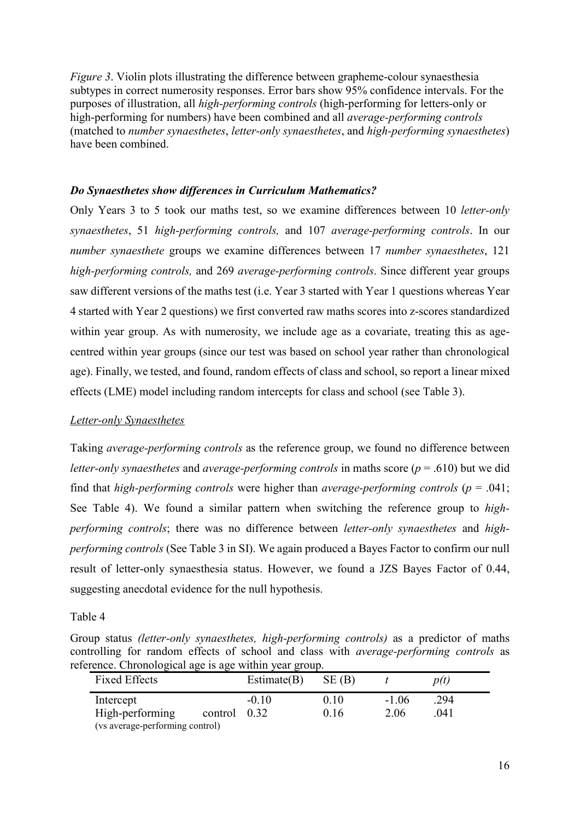*Figure 3*. Violin plots illustrating the difference between grapheme-colour synaesthesia subtypes in correct numerosity responses. Error bars show 95% confidence intervals. For the purposes of illustration, all *high-performing controls* (high-performing for letters-only or high-performing for numbers) have been combined and all *average-performing controls* (matched to *number synaesthetes*, *letter-only synaesthetes*, and *high-performing synaesthetes*) have been combined.

# *Do Synaesthetes show differences in Curriculum Mathematics?*

Only Years 3 to 5 took our maths test, so we examine differences between 10 *letter-only synaesthetes*, 51 *high-performing controls,* and 107 *average-performing controls*. In our *number synaesthete* groups we examine differences between 17 *number synaesthetes*, 121 *high-performing controls,* and 269 *average-performing controls*. Since different year groups saw different versions of the maths test (i.e. Year 3 started with Year 1 questions whereas Year 4 started with Year 2 questions) we first converted raw maths scores into z-scores standardized within year group. As with numerosity, we include age as a covariate, treating this as agecentred within year groups (since our test was based on school year rather than chronological age). Finally, we tested, and found, random effects of class and school, so report a linear mixed effects (LME) model including random intercepts for class and school (see Table 3).

# *Letter-only Synaesthetes*

Taking *average-performing controls* as the reference group, we found no difference between *letter-only synaesthetes* and *average-performing controls* in maths score (*p* = .610) but we did find that *high-performing controls* were higher than *average-performing controls* (*p* = .041; See Table 4). We found a similar pattern when switching the reference group to *highperforming controls*; there was no difference between *letter-only synaesthetes* and *highperforming controls* (See Table 3 in SI). We again produced a Bayes Factor to confirm our null result of letter-only synaesthesia status. However, we found a JZS Bayes Factor of 0.44, suggesting anecdotal evidence for the null hypothesis.

Table 4

Group status *(letter-only synaesthetes, high-performing controls)* as a predictor of maths controlling for random effects of school and class with *average-performing controls* as reference. Chronological age is age within year group.

| <b>Fixed Effects</b>            | Estimate $(B)$ | SE(B) |         | p(t) |  |
|---------------------------------|----------------|-------|---------|------|--|
| Intercept                       | $-0.10$        | 0.10  | $-1.06$ | .294 |  |
| High-performing                 | control $0.32$ | 0.16  | 2.06    | .041 |  |
| (vs average-performing control) |                |       |         |      |  |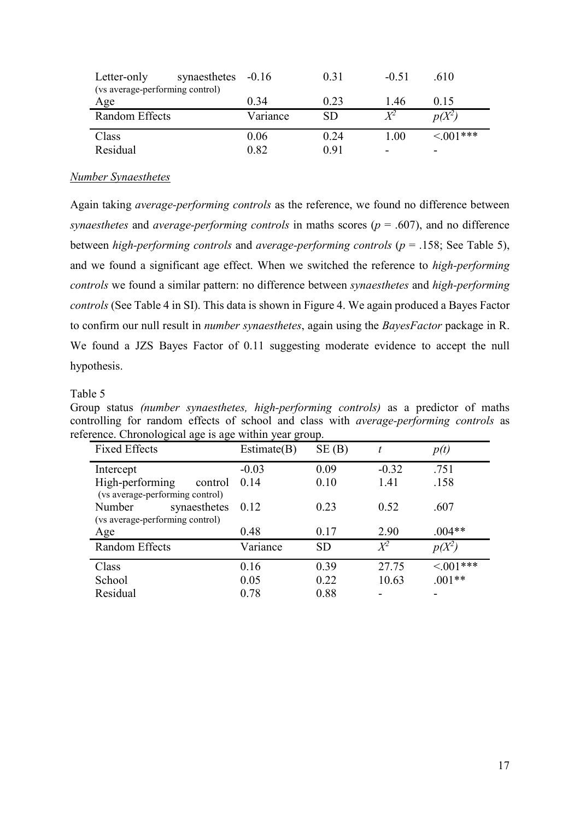| Letter-only                     | synaesthetes -0.16 |          | 0.31      | $-0.51$     | .610           |
|---------------------------------|--------------------|----------|-----------|-------------|----------------|
| (vs average-performing control) |                    |          |           |             |                |
| Age                             |                    | 0.34     | 0.23      | 1.46        | 0.15           |
| Random Effects                  |                    | Variance | <b>SD</b> | $\pmb{V}^2$ | $p(X^2)$       |
| Class                           |                    | 0.06     | 0.24      | 1.00        | $\leq 0.01***$ |
|                                 |                    |          |           |             |                |

## *Number Synaesthetes*

Again taking *average-performing controls* as the reference, we found no difference between *synaesthetes* and *average-performing controls* in maths scores ( $p = .607$ ), and no difference between *high-performing controls* and *average-performing controls* (*p* = .158; See Table 5), and we found a significant age effect. When we switched the reference to *high-performing controls* we found a similar pattern: no difference between *synaesthetes* and *high-performing controls* (See Table 4 in SI). This data is shown in Figure 4. We again produced a Bayes Factor to confirm our null result in *number synaesthetes*, again using the *BayesFactor* package in R. We found a JZS Bayes Factor of 0.11 suggesting moderate evidence to accept the null hypothesis.

### Table 5

Group status *(number synaesthetes, high-performing controls)* as a predictor of maths controlling for random effects of school and class with *average-performing controls* as reference. Chronological age is age within year group.

| <b>Fixed Effects</b>                                          | Estimate(B) | SE(B)     |         | p(t)        |
|---------------------------------------------------------------|-------------|-----------|---------|-------------|
| Intercept                                                     | $-0.03$     | 0.09      | $-0.32$ | .751        |
| High-performing<br>control<br>(vs average-performing control) | 0.14        | 0.10      | 1.41    | .158        |
| synaesthetes<br>Number<br>(vs average-performing control)     | 0.12        | 0.23      | 0.52    | .607        |
| Age                                                           | 0.48        | 0.17      | 2.90    | $.004**$    |
| Random Effects                                                | Variance    | <b>SD</b> | $X^2$   | $p(X^2)$    |
| Class                                                         | 0.16        | 0.39      | 27.75   | $< 0.01***$ |
| School                                                        | 0.05        | 0.22      | 10.63   | $.001**$    |
| Residual                                                      | 0.78        | 0.88      |         |             |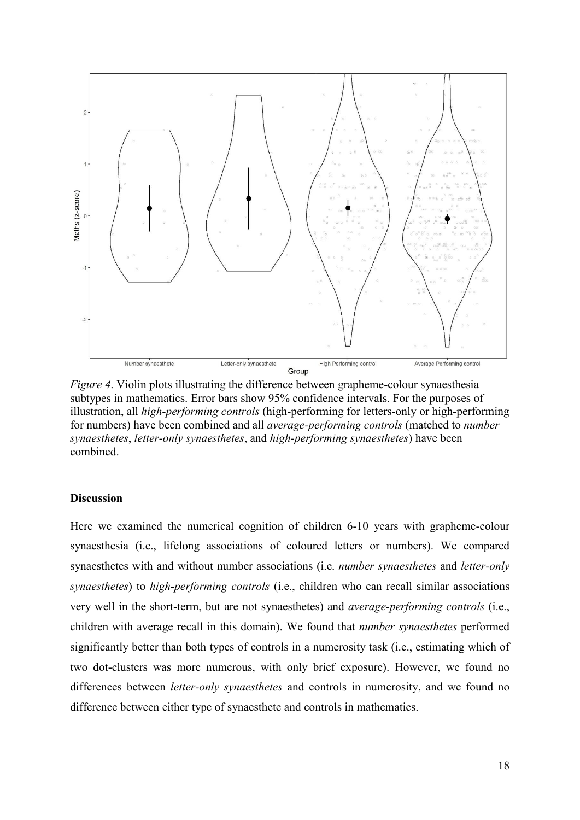

*Figure 4*. Violin plots illustrating the difference between grapheme-colour synaesthesia subtypes in mathematics. Error bars show 95% confidence intervals. For the purposes of illustration, all *high-performing controls* (high-performing for letters-only or high-performing for numbers) have been combined and all *average-performing controls* (matched to *number synaesthetes*, *letter-only synaesthetes*, and *high-performing synaesthetes*) have been combined.

#### **Discussion**

Here we examined the numerical cognition of children 6-10 years with grapheme-colour synaesthesia (i.e., lifelong associations of coloured letters or numbers). We compared synaesthetes with and without number associations (i.e. *number synaesthetes* and *letter-only synaesthetes*) to *high-performing controls* (i.e., children who can recall similar associations very well in the short-term, but are not synaesthetes) and *average-performing controls* (i.e., children with average recall in this domain). We found that *number synaesthetes* performed significantly better than both types of controls in a numerosity task (i.e., estimating which of two dot-clusters was more numerous, with only brief exposure). However, we found no differences between *letter-only synaesthetes* and controls in numerosity, and we found no difference between either type of synaesthete and controls in mathematics.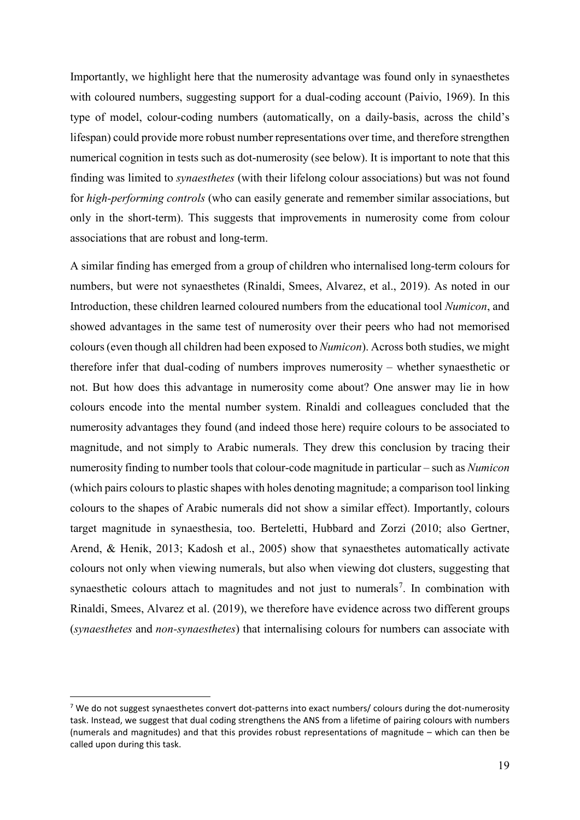Importantly, we highlight here that the numerosity advantage was found only in synaesthetes with coloured numbers, suggesting support for a dual-coding account (Paivio, 1969). In this type of model, colour-coding numbers (automatically, on a daily-basis, across the child's lifespan) could provide more robust number representations over time, and therefore strengthen numerical cognition in tests such as dot-numerosity (see below). It is important to note that this finding was limited to *synaesthetes* (with their lifelong colour associations) but was not found for *high-performing controls* (who can easily generate and remember similar associations, but only in the short-term). This suggests that improvements in numerosity come from colour associations that are robust and long-term.

A similar finding has emerged from a group of children who internalised long-term colours for numbers, but were not synaesthetes (Rinaldi, Smees, Alvarez, et al., 2019). As noted in our Introduction, these children learned coloured numbers from the educational tool *Numicon*, and showed advantages in the same test of numerosity over their peers who had not memorised colours (even though all children had been exposed to *Numicon*). Across both studies, we might therefore infer that dual-coding of numbers improves numerosity – whether synaesthetic or not. But how does this advantage in numerosity come about? One answer may lie in how colours encode into the mental number system. Rinaldi and colleagues concluded that the numerosity advantages they found (and indeed those here) require colours to be associated to magnitude, and not simply to Arabic numerals. They drew this conclusion by tracing their numerosity finding to number tools that colour-code magnitude in particular – such as *Numicon* (which pairs colours to plastic shapes with holes denoting magnitude; a comparison tool linking colours to the shapes of Arabic numerals did not show a similar effect). Importantly, colours target magnitude in synaesthesia, too. Berteletti, Hubbard and Zorzi (2010; also Gertner, Arend, & Henik, 2013; Kadosh et al., 2005) show that synaesthetes automatically activate colours not only when viewing numerals, but also when viewing dot clusters, suggesting that synaesthetic colours attach to magnitudes and not just to numerals<sup>[7](#page-19-0)</sup>. In combination with Rinaldi, Smees, Alvarez et al. (2019), we therefore have evidence across two different groups (*synaesthetes* and *non-synaesthetes*) that internalising colours for numbers can associate with

-

<span id="page-19-0"></span><sup>&</sup>lt;sup>7</sup> We do not suggest synaesthetes convert dot-patterns into exact numbers/ colours during the dot-numerosity task. Instead, we suggest that dual coding strengthens the ANS from a lifetime of pairing colours with numbers (numerals and magnitudes) and that this provides robust representations of magnitude – which can then be called upon during this task.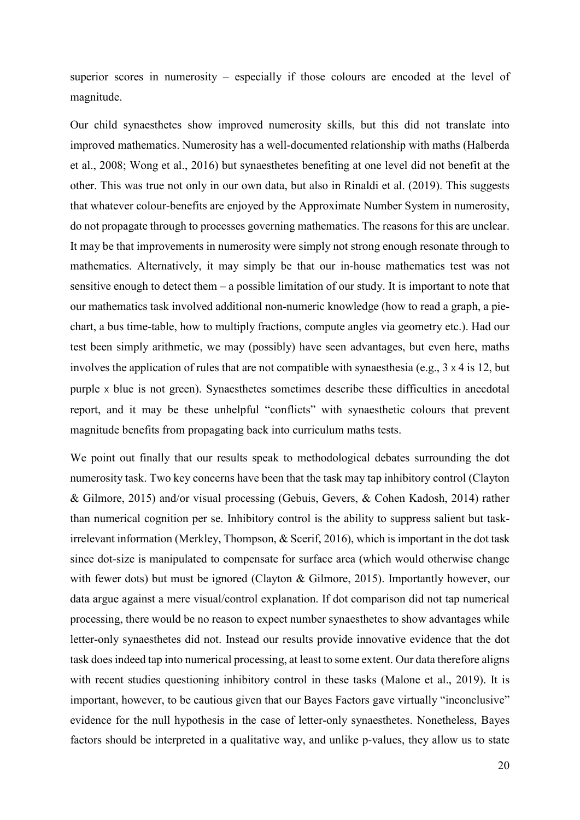superior scores in numerosity – especially if those colours are encoded at the level of magnitude.

Our child synaesthetes show improved numerosity skills, but this did not translate into improved mathematics. Numerosity has a well-documented relationship with maths (Halberda et al., 2008; Wong et al., 2016) but synaesthetes benefiting at one level did not benefit at the other. This was true not only in our own data, but also in Rinaldi et al. (2019). This suggests that whatever colour-benefits are enjoyed by the Approximate Number System in numerosity, do not propagate through to processes governing mathematics. The reasons for this are unclear. It may be that improvements in numerosity were simply not strong enough resonate through to mathematics. Alternatively, it may simply be that our in-house mathematics test was not sensitive enough to detect them – a possible limitation of our study. It is important to note that our mathematics task involved additional non-numeric knowledge (how to read a graph, a piechart, a bus time-table, how to multiply fractions, compute angles via geometry etc.). Had our test been simply arithmetic, we may (possibly) have seen advantages, but even here, maths involves the application of rules that are not compatible with synaesthesia (e.g., 3 x 4 is 12, but purple x blue is not green). Synaesthetes sometimes describe these difficulties in anecdotal report, and it may be these unhelpful "conflicts" with synaesthetic colours that prevent magnitude benefits from propagating back into curriculum maths tests.

We point out finally that our results speak to methodological debates surrounding the dot numerosity task. Two key concerns have been that the task may tap inhibitory control (Clayton & Gilmore, 2015) and/or visual processing (Gebuis, Gevers, & Cohen Kadosh, 2014) rather than numerical cognition per se. Inhibitory control is the ability to suppress salient but taskirrelevant information (Merkley, Thompson, & Scerif, 2016), which is important in the dot task since dot-size is manipulated to compensate for surface area (which would otherwise change with fewer dots) but must be ignored (Clayton & Gilmore, 2015). Importantly however, our data argue against a mere visual/control explanation. If dot comparison did not tap numerical processing, there would be no reason to expect number synaesthetes to show advantages while letter-only synaesthetes did not. Instead our results provide innovative evidence that the dot task does indeed tap into numerical processing, at least to some extent. Our data therefore aligns with recent studies questioning inhibitory control in these tasks (Malone et al., 2019). It is important, however, to be cautious given that our Bayes Factors gave virtually "inconclusive" evidence for the null hypothesis in the case of letter-only synaesthetes. Nonetheless, Bayes factors should be interpreted in a qualitative way, and unlike p-values, they allow us to state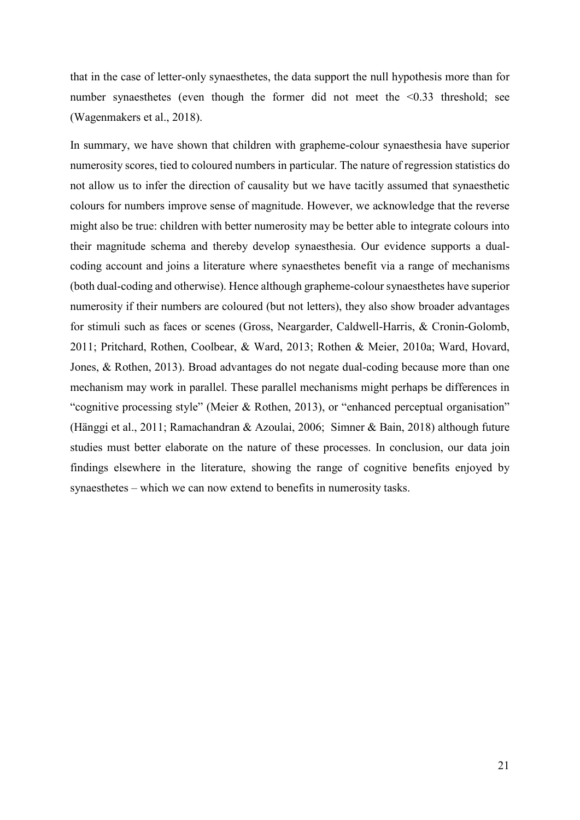that in the case of letter-only synaesthetes, the data support the null hypothesis more than for number synaesthetes (even though the former did not meet the <0.33 threshold; see (Wagenmakers et al., 2018).

In summary, we have shown that children with grapheme-colour synaesthesia have superior numerosity scores, tied to coloured numbers in particular. The nature of regression statistics do not allow us to infer the direction of causality but we have tacitly assumed that synaesthetic colours for numbers improve sense of magnitude. However, we acknowledge that the reverse might also be true: children with better numerosity may be better able to integrate colours into their magnitude schema and thereby develop synaesthesia. Our evidence supports a dualcoding account and joins a literature where synaesthetes benefit via a range of mechanisms (both dual-coding and otherwise). Hence although grapheme-colour synaesthetes have superior numerosity if their numbers are coloured (but not letters), they also show broader advantages for stimuli such as faces or scenes (Gross, Neargarder, Caldwell-Harris, & Cronin-Golomb, 2011; Pritchard, Rothen, Coolbear, & Ward, 2013; Rothen & Meier, 2010a; Ward, Hovard, Jones, & Rothen, 2013). Broad advantages do not negate dual-coding because more than one mechanism may work in parallel. These parallel mechanisms might perhaps be differences in "cognitive processing style" (Meier & Rothen, 2013), or "enhanced perceptual organisation" (Hänggi et al., 2011; Ramachandran & Azoulai, 2006; Simner & Bain, 2018) although future studies must better elaborate on the nature of these processes. In conclusion, our data join findings elsewhere in the literature, showing the range of cognitive benefits enjoyed by synaesthetes – which we can now extend to benefits in numerosity tasks.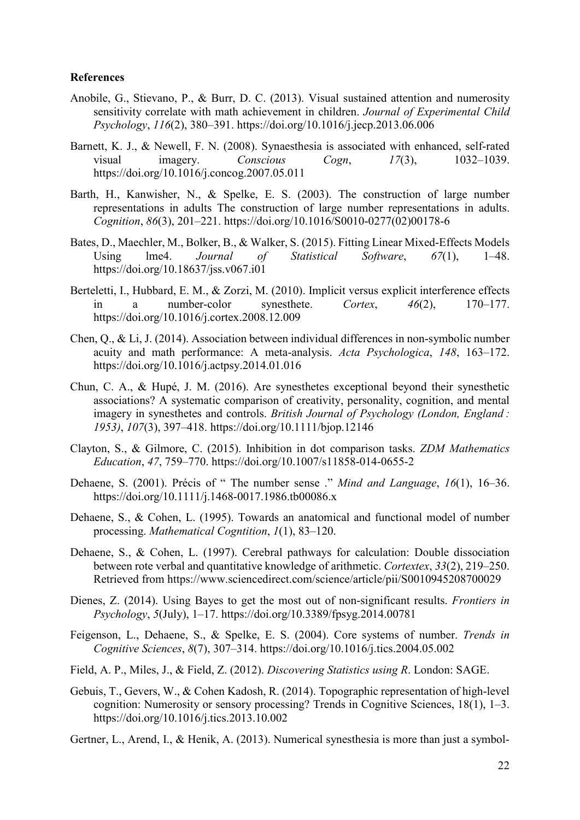### **References**

- Anobile, G., Stievano, P., & Burr, D. C. (2013). Visual sustained attention and numerosity sensitivity correlate with math achievement in children. *Journal of Experimental Child Psychology*, *116*(2), 380–391. https://doi.org/10.1016/j.jecp.2013.06.006
- Barnett, K. J., & Newell, F. N. (2008). Synaesthesia is associated with enhanced, self-rated visual imagery. *Conscious Cogn*, *17*(3), 1032–1039. https://doi.org/10.1016/j.concog.2007.05.011
- Barth, H., Kanwisher, N., & Spelke, E. S. (2003). The construction of large number representations in adults The construction of large number representations in adults. *Cognition*, *86*(3), 201–221. https://doi.org/10.1016/S0010-0277(02)00178-6
- Bates, D., Maechler, M., Bolker, B., & Walker, S. (2015). Fitting Linear Mixed-Effects Models Using lme4. *Journal of Statistical Software*, *67*(1), 1–48. https://doi.org/10.18637/jss.v067.i01
- Berteletti, I., Hubbard, E. M., & Zorzi, M. (2010). Implicit versus explicit interference effects in a number-color synesthete. *Cortex*, *46*(2), 170–177. https://doi.org/10.1016/j.cortex.2008.12.009
- Chen, Q., & Li, J. (2014). Association between individual differences in non-symbolic number acuity and math performance: A meta-analysis. *Acta Psychologica*, *148*, 163–172. https://doi.org/10.1016/j.actpsy.2014.01.016
- Chun, C. A., & Hupé, J. M. (2016). Are synesthetes exceptional beyond their synesthetic associations? A systematic comparison of creativity, personality, cognition, and mental imagery in synesthetes and controls. *British Journal of Psychology (London, England*: *1953)*, *107*(3), 397–418. https://doi.org/10.1111/bjop.12146
- Clayton, S., & Gilmore, C. (2015). Inhibition in dot comparison tasks. *ZDM Mathematics Education*, *47*, 759–770. https://doi.org/10.1007/s11858-014-0655-2
- Dehaene, S. (2001). Précis of " The number sense ." *Mind and Language*, *16*(1), 16–36. https://doi.org/10.1111/j.1468-0017.1986.tb00086.x
- Dehaene, S., & Cohen, L. (1995). Towards an anatomical and functional model of number processing. *Mathematical Cogntition*, *1*(1), 83–120.
- Dehaene, S., & Cohen, L. (1997). Cerebral pathways for calculation: Double dissociation between rote verbal and quantitative knowledge of arithmetic. *Cortextex*, *33*(2), 219–250. Retrieved from https://www.sciencedirect.com/science/article/pii/S0010945208700029
- Dienes, Z. (2014). Using Bayes to get the most out of non-significant results. *Frontiers in Psychology*, *5*(July), 1–17. https://doi.org/10.3389/fpsyg.2014.00781
- Feigenson, L., Dehaene, S., & Spelke, E. S. (2004). Core systems of number. *Trends in Cognitive Sciences*, *8*(7), 307–314. https://doi.org/10.1016/j.tics.2004.05.002
- Field, A. P., Miles, J., & Field, Z. (2012). *Discovering Statistics using R*. London: SAGE.
- Gebuis, T., Gevers, W., & Cohen Kadosh, R. (2014). Topographic representation of high-level cognition: Numerosity or sensory processing? Trends in Cognitive Sciences, 18(1), 1–3. https://doi.org/10.1016/j.tics.2013.10.002
- Gertner, L., Arend, I., & Henik, A. (2013). Numerical synesthesia is more than just a symbol-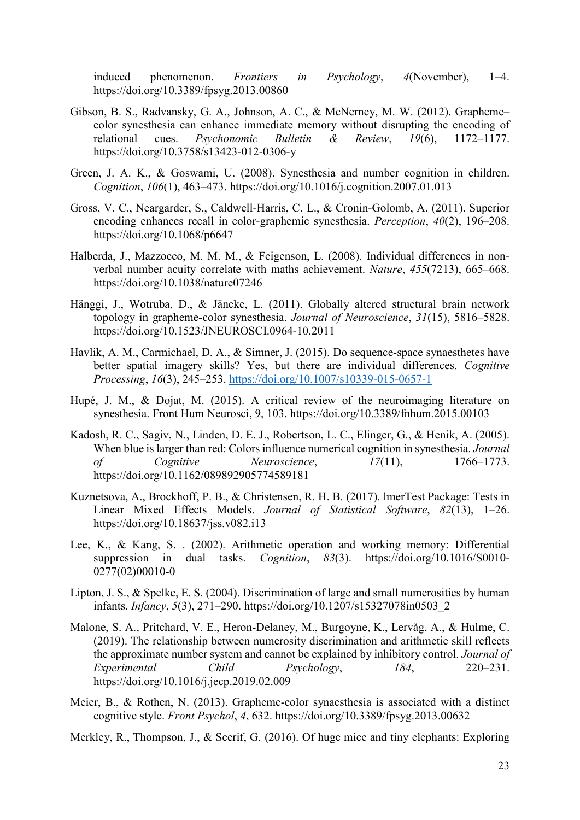induced phenomenon. *Frontiers in Psychology*, *4*(November), 1–4. https://doi.org/10.3389/fpsyg.2013.00860

- Gibson, B. S., Radvansky, G. A., Johnson, A. C., & McNerney, M. W. (2012). Grapheme– color synesthesia can enhance immediate memory without disrupting the encoding of relational cues. *Psychonomic Bulletin & Review*, *19*(6), 1172–1177. https://doi.org/10.3758/s13423-012-0306-y
- Green, J. A. K., & Goswami, U. (2008). Synesthesia and number cognition in children. *Cognition*, *106*(1), 463–473. https://doi.org/10.1016/j.cognition.2007.01.013
- Gross, V. C., Neargarder, S., Caldwell-Harris, C. L., & Cronin-Golomb, A. (2011). Superior encoding enhances recall in color-graphemic synesthesia. *Perception*, *40*(2), 196–208. https://doi.org/10.1068/p6647
- Halberda, J., Mazzocco, M. M. M., & Feigenson, L. (2008). Individual differences in nonverbal number acuity correlate with maths achievement. *Nature*, *455*(7213), 665–668. https://doi.org/10.1038/nature07246
- Hänggi, J., Wotruba, D., & Jäncke, L. (2011). Globally altered structural brain network topology in grapheme-color synesthesia. *Journal of Neuroscience*, *31*(15), 5816–5828. https://doi.org/10.1523/JNEUROSCI.0964-10.2011
- Havlik, A. M., Carmichael, D. A., & Simner, J. (2015). Do sequence-space synaesthetes have better spatial imagery skills? Yes, but there are individual differences. *Cognitive Processing*, *16*(3), 245–253.<https://doi.org/10.1007/s10339-015-0657-1>
- Hupé, J. M., & Dojat, M. (2015). A critical review of the neuroimaging literature on synesthesia. Front Hum Neurosci, 9, 103. https://doi.org/10.3389/fnhum.2015.00103
- Kadosh, R. C., Sagiv, N., Linden, D. E. J., Robertson, L. C., Elinger, G., & Henik, A. (2005). When blue is larger than red: Colors influence numerical cognition in synesthesia. *Journal of Cognitive Neuroscience*, *17*(11), 1766–1773. https://doi.org/10.1162/089892905774589181
- Kuznetsova, A., Brockhoff, P. B., & Christensen, R. H. B. (2017). lmerTest Package: Tests in Linear Mixed Effects Models. *Journal of Statistical Software*, *82*(13), 1–26. https://doi.org/10.18637/jss.v082.i13
- Lee, K., & Kang, S. . (2002). Arithmetic operation and working memory: Differential suppression in dual tasks. *Cognition*, *83*(3). https://doi.org/10.1016/S0010- 0277(02)00010-0
- Lipton, J. S., & Spelke, E. S. (2004). Discrimination of large and small numerosities by human infants. *Infancy*, *5*(3), 271–290. https://doi.org/10.1207/s15327078in0503\_2
- Malone, S. A., Pritchard, V. E., Heron-Delaney, M., Burgoyne, K., Lervåg, A., & Hulme, C. (2019). The relationship between numerosity discrimination and arithmetic skill reflects the approximate number system and cannot be explained by inhibitory control. *Journal of Experimental Child Psychology*, *184*, 220–231. https://doi.org/10.1016/j.jecp.2019.02.009
- Meier, B., & Rothen, N. (2013). Grapheme-color synaesthesia is associated with a distinct cognitive style. *Front Psychol*, *4*, 632. https://doi.org/10.3389/fpsyg.2013.00632
- Merkley, R., Thompson, J., & Scerif, G. (2016). Of huge mice and tiny elephants: Exploring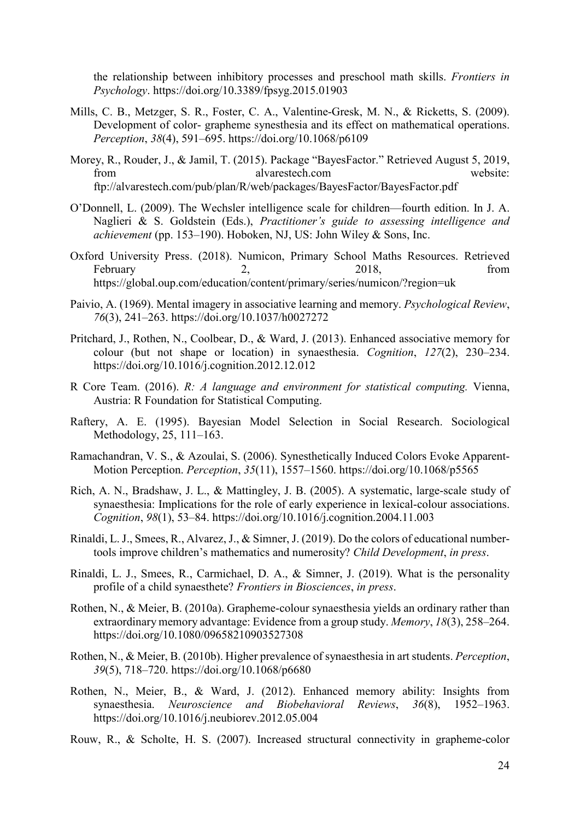the relationship between inhibitory processes and preschool math skills. *Frontiers in Psychology*. https://doi.org/10.3389/fpsyg.2015.01903

- Mills, C. B., Metzger, S. R., Foster, C. A., Valentine-Gresk, M. N., & Ricketts, S. (2009). Development of color- grapheme synesthesia and its effect on mathematical operations. *Perception*, *38*(4), 591–695. https://doi.org/10.1068/p6109
- Morey, R., Rouder, J., & Jamil, T. (2015). Package "BayesFactor." Retrieved August 5, 2019, from alvarestech.com website: ftp://alvarestech.com/pub/plan/R/web/packages/BayesFactor/BayesFactor.pdf
- O'Donnell, L. (2009). The Wechsler intelligence scale for children—fourth edition. In J. A. Naglieri & S. Goldstein (Eds.), *Practitioner's guide to assessing intelligence and achievement* (pp. 153–190). Hoboken, NJ, US: John Wiley & Sons, Inc.
- Oxford University Press. (2018). Numicon, Primary School Maths Resources. Retrieved February 2, 2018, from https://global.oup.com/education/content/primary/series/numicon/?region=uk
- Paivio, A. (1969). Mental imagery in associative learning and memory. *Psychological Review*, *76*(3), 241–263. https://doi.org/10.1037/h0027272
- Pritchard, J., Rothen, N., Coolbear, D., & Ward, J. (2013). Enhanced associative memory for colour (but not shape or location) in synaesthesia. *Cognition*, *127*(2), 230–234. https://doi.org/10.1016/j.cognition.2012.12.012
- R Core Team. (2016). *R: A language and environment for statistical computing.* Vienna, Austria: R Foundation for Statistical Computing.
- Raftery, A. E. (1995). Bayesian Model Selection in Social Research. Sociological Methodology, 25, 111–163.
- Ramachandran, V. S., & Azoulai, S. (2006). Synesthetically Induced Colors Evoke Apparent-Motion Perception. *Perception*, *35*(11), 1557–1560. https://doi.org/10.1068/p5565
- Rich, A. N., Bradshaw, J. L., & Mattingley, J. B. (2005). A systematic, large-scale study of synaesthesia: Implications for the role of early experience in lexical-colour associations. *Cognition*, *98*(1), 53–84. https://doi.org/10.1016/j.cognition.2004.11.003
- Rinaldi, L. J., Smees, R., Alvarez, J., & Simner, J. (2019). Do the colors of educational numbertools improve children's mathematics and numerosity? *Child Development*, *in press*.
- Rinaldi, L. J., Smees, R., Carmichael, D. A., & Simner, J. (2019). What is the personality profile of a child synaesthete? *Frontiers in Biosciences*, *in press*.
- Rothen, N., & Meier, B. (2010a). Grapheme-colour synaesthesia yields an ordinary rather than extraordinary memory advantage: Evidence from a group study. *Memory*, *18*(3), 258–264. https://doi.org/10.1080/09658210903527308
- Rothen, N., & Meier, B. (2010b). Higher prevalence of synaesthesia in art students. *Perception*, *39*(5), 718–720. https://doi.org/10.1068/p6680
- Rothen, N., Meier, B., & Ward, J. (2012). Enhanced memory ability: Insights from synaesthesia. *Neuroscience and Biobehavioral Reviews*, *36*(8), 1952–1963. https://doi.org/10.1016/j.neubiorev.2012.05.004
- Rouw, R., & Scholte, H. S. (2007). Increased structural connectivity in grapheme-color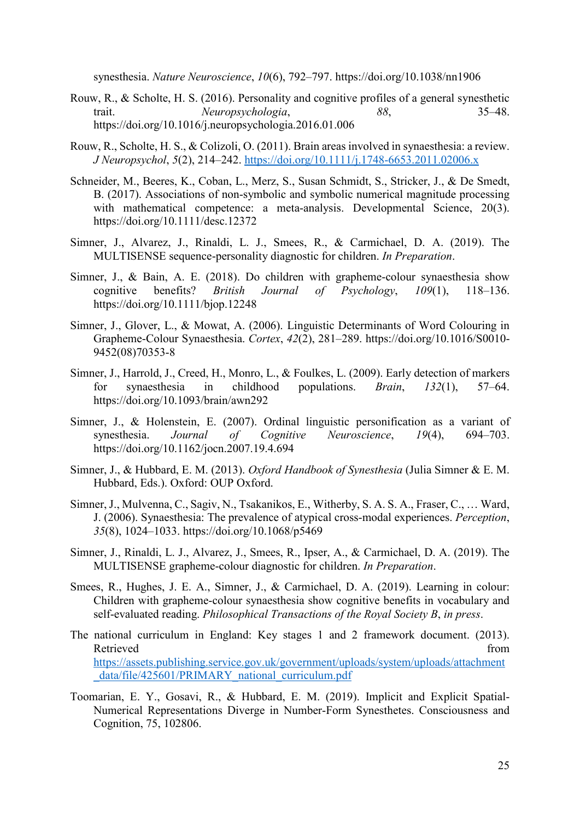synesthesia. *Nature Neuroscience*, *10*(6), 792–797. https://doi.org/10.1038/nn1906

- Rouw, R., & Scholte, H. S. (2016). Personality and cognitive profiles of a general synesthetic trait. *Neuropsychologia*, *88*, 35–48. https://doi.org/10.1016/j.neuropsychologia.2016.01.006
- Rouw, R., Scholte, H. S., & Colizoli, O. (2011). Brain areas involved in synaesthesia: a review. *J Neuropsychol*, *5*(2), 214–242.<https://doi.org/10.1111/j.1748-6653.2011.02006.x>
- Schneider, M., Beeres, K., Coban, L., Merz, S., Susan Schmidt, S., Stricker, J., & De Smedt, B. (2017). Associations of non-symbolic and symbolic numerical magnitude processing with mathematical competence: a meta-analysis. Developmental Science, 20(3). https://doi.org/10.1111/desc.12372
- Simner, J., Alvarez, J., Rinaldi, L. J., Smees, R., & Carmichael, D. A. (2019). The MULTISENSE sequence-personality diagnostic for children. *In Preparation*.
- Simner, J., & Bain, A. E. (2018). Do children with grapheme-colour synaesthesia show cognitive benefits? *British Journal of Psychology*, *109*(1), 118–136. https://doi.org/10.1111/bjop.12248
- Simner, J., Glover, L., & Mowat, A. (2006). Linguistic Determinants of Word Colouring in Grapheme-Colour Synaesthesia. *Cortex*, *42*(2), 281–289. https://doi.org/10.1016/S0010- 9452(08)70353-8
- Simner, J., Harrold, J., Creed, H., Monro, L., & Foulkes, L. (2009). Early detection of markers for synaesthesia in childhood populations. *Brain*, *132*(1), 57–64. https://doi.org/10.1093/brain/awn292
- Simner, J., & Holenstein, E. (2007). Ordinal linguistic personification as a variant of synesthesia. *Journal of Cognitive Neuroscience*, *19*(4), 694–703. https://doi.org/10.1162/jocn.2007.19.4.694
- Simner, J., & Hubbard, E. M. (2013). *Oxford Handbook of Synesthesia* (Julia Simner & E. M. Hubbard, Eds.). Oxford: OUP Oxford.
- Simner, J., Mulvenna, C., Sagiv, N., Tsakanikos, E., Witherby, S. A. S. A., Fraser, C., … Ward, J. (2006). Synaesthesia: The prevalence of atypical cross-modal experiences. *Perception*, *35*(8), 1024–1033. https://doi.org/10.1068/p5469
- Simner, J., Rinaldi, L. J., Alvarez, J., Smees, R., Ipser, A., & Carmichael, D. A. (2019). The MULTISENSE grapheme-colour diagnostic for children. *In Preparation*.
- Smees, R., Hughes, J. E. A., Simner, J., & Carmichael, D. A. (2019). Learning in colour: Children with grapheme-colour synaesthesia show cognitive benefits in vocabulary and self-evaluated reading. *Philosophical Transactions of the Royal Society B*, *in press*.
- The national curriculum in England: Key stages 1 and 2 framework document. (2013). Retrieved from the state of the state of the state of the state of the state of the state of the state of the state of the state of the state of the state of the state of the state of the state of the state of the state of [https://assets.publishing.service.gov.uk/government/uploads/system/uploads/attachment](https://assets.publishing.service.gov.uk/government/uploads/system/uploads/attachment_data/file/425601/PRIMARY_national_curriculum.pdf) data/file/425601/PRIMARY\_national\_curriculum.pdf
- Toomarian, E. Y., Gosavi, R., & Hubbard, E. M. (2019). Implicit and Explicit Spatial-Numerical Representations Diverge in Number-Form Synesthetes. Consciousness and Cognition, 75, 102806.